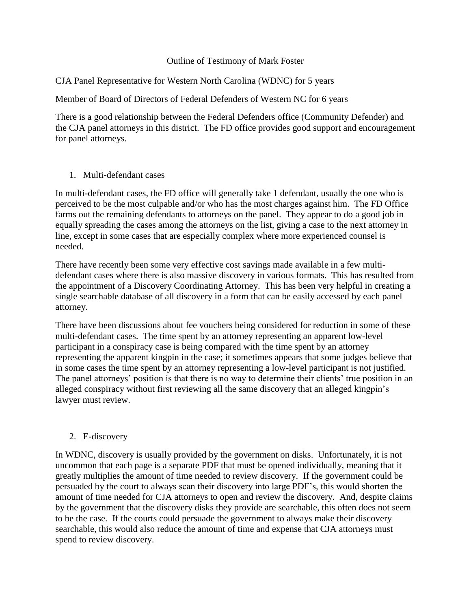## Outline of Testimony of Mark Foster

CJA Panel Representative for Western North Carolina (WDNC) for 5 years

Member of Board of Directors of Federal Defenders of Western NC for 6 years

There is a good relationship between the Federal Defenders office (Community Defender) and the CJA panel attorneys in this district. The FD office provides good support and encouragement for panel attorneys.

1. Multi-defendant cases

In multi-defendant cases, the FD office will generally take 1 defendant, usually the one who is perceived to be the most culpable and/or who has the most charges against him. The FD Office farms out the remaining defendants to attorneys on the panel. They appear to do a good job in equally spreading the cases among the attorneys on the list, giving a case to the next attorney in line, except in some cases that are especially complex where more experienced counsel is needed.

There have recently been some very effective cost savings made available in a few multidefendant cases where there is also massive discovery in various formats. This has resulted from the appointment of a Discovery Coordinating Attorney. This has been very helpful in creating a single searchable database of all discovery in a form that can be easily accessed by each panel attorney.

There have been discussions about fee vouchers being considered for reduction in some of these multi-defendant cases. The time spent by an attorney representing an apparent low-level participant in a conspiracy case is being compared with the time spent by an attorney representing the apparent kingpin in the case; it sometimes appears that some judges believe that in some cases the time spent by an attorney representing a low-level participant is not justified. The panel attorneys' position is that there is no way to determine their clients' true position in an alleged conspiracy without first reviewing all the same discovery that an alleged kingpin's lawyer must review.

## 2. E-discovery

In WDNC, discovery is usually provided by the government on disks. Unfortunately, it is not uncommon that each page is a separate PDF that must be opened individually, meaning that it greatly multiplies the amount of time needed to review discovery. If the government could be persuaded by the court to always scan their discovery into large PDF's, this would shorten the amount of time needed for CJA attorneys to open and review the discovery. And, despite claims by the government that the discovery disks they provide are searchable, this often does not seem to be the case. If the courts could persuade the government to always make their discovery searchable, this would also reduce the amount of time and expense that CJA attorneys must spend to review discovery.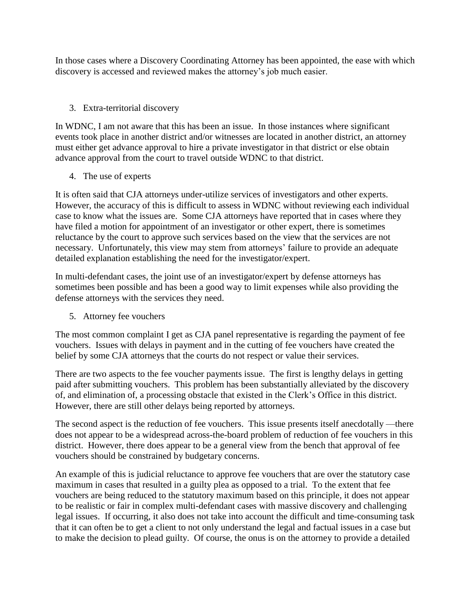In those cases where a Discovery Coordinating Attorney has been appointed, the ease with which discovery is accessed and reviewed makes the attorney's job much easier.

## 3. Extra-territorial discovery

In WDNC, I am not aware that this has been an issue. In those instances where significant events took place in another district and/or witnesses are located in another district, an attorney must either get advance approval to hire a private investigator in that district or else obtain advance approval from the court to travel outside WDNC to that district.

4. The use of experts

It is often said that CJA attorneys under-utilize services of investigators and other experts. However, the accuracy of this is difficult to assess in WDNC without reviewing each individual case to know what the issues are. Some CJA attorneys have reported that in cases where they have filed a motion for appointment of an investigator or other expert, there is sometimes reluctance by the court to approve such services based on the view that the services are not necessary. Unfortunately, this view may stem from attorneys' failure to provide an adequate detailed explanation establishing the need for the investigator/expert.

In multi-defendant cases, the joint use of an investigator/expert by defense attorneys has sometimes been possible and has been a good way to limit expenses while also providing the defense attorneys with the services they need.

5. Attorney fee vouchers

The most common complaint I get as CJA panel representative is regarding the payment of fee vouchers. Issues with delays in payment and in the cutting of fee vouchers have created the belief by some CJA attorneys that the courts do not respect or value their services.

There are two aspects to the fee voucher payments issue. The first is lengthy delays in getting paid after submitting vouchers. This problem has been substantially alleviated by the discovery of, and elimination of, a processing obstacle that existed in the Clerk's Office in this district. However, there are still other delays being reported by attorneys.

The second aspect is the reduction of fee vouchers. This issue presents itself anecdotally —there does not appear to be a widespread across-the-board problem of reduction of fee vouchers in this district. However, there does appear to be a general view from the bench that approval of fee vouchers should be constrained by budgetary concerns.

An example of this is judicial reluctance to approve fee vouchers that are over the statutory case maximum in cases that resulted in a guilty plea as opposed to a trial. To the extent that fee vouchers are being reduced to the statutory maximum based on this principle, it does not appear to be realistic or fair in complex multi-defendant cases with massive discovery and challenging legal issues. If occurring, it also does not take into account the difficult and time-consuming task that it can often be to get a client to not only understand the legal and factual issues in a case but to make the decision to plead guilty. Of course, the onus is on the attorney to provide a detailed